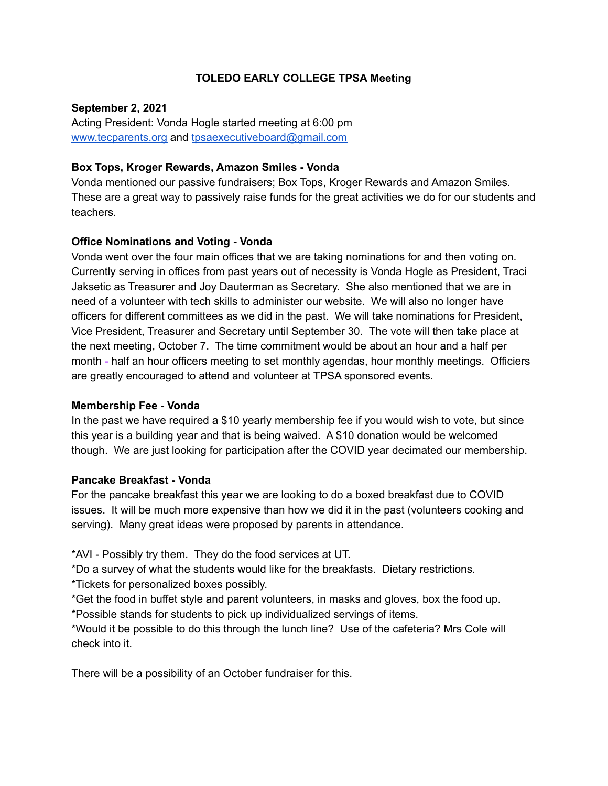## **TOLEDO EARLY COLLEGE TPSA Meeting**

### **September 2, 2021**

Acting President: Vonda Hogle started meeting at 6:00 pm [www.tecparents.org](http://www.tecpartents.org) and [tpsaexecutiveboard@gmail.com](mailto:tpsaexeutiveboard@gmail.com)

## **Box Tops, Kroger Rewards, Amazon Smiles - Vonda**

Vonda mentioned our passive fundraisers; Box Tops, Kroger Rewards and Amazon Smiles. These are a great way to passively raise funds for the great activities we do for our students and teachers.

## **Office Nominations and Voting - Vonda**

Vonda went over the four main offices that we are taking nominations for and then voting on. Currently serving in offices from past years out of necessity is Vonda Hogle as President, Traci Jaksetic as Treasurer and Joy Dauterman as Secretary. She also mentioned that we are in need of a volunteer with tech skills to administer our website. We will also no longer have officers for different committees as we did in the past. We will take nominations for President, Vice President, Treasurer and Secretary until September 30. The vote will then take place at the next meeting, October 7. The time commitment would be about an hour and a half per month - half an hour officers meeting to set monthly agendas, hour monthly meetings. Officiers are greatly encouraged to attend and volunteer at TPSA sponsored events.

## **Membership Fee - Vonda**

In the past we have required a \$10 yearly membership fee if you would wish to vote, but since this year is a building year and that is being waived. A \$10 donation would be welcomed though. We are just looking for participation after the COVID year decimated our membership.

## **Pancake Breakfast - Vonda**

For the pancake breakfast this year we are looking to do a boxed breakfast due to COVID issues. It will be much more expensive than how we did it in the past (volunteers cooking and serving). Many great ideas were proposed by parents in attendance.

\*AVI - Possibly try them. They do the food services at UT.

\*Do a survey of what the students would like for the breakfasts. Dietary restrictions.

\*Tickets for personalized boxes possibly.

\*Get the food in buffet style and parent volunteers, in masks and gloves, box the food up.

\*Possible stands for students to pick up individualized servings of items.

\*Would it be possible to do this through the lunch line? Use of the cafeteria? Mrs Cole will check into it.

There will be a possibility of an October fundraiser for this.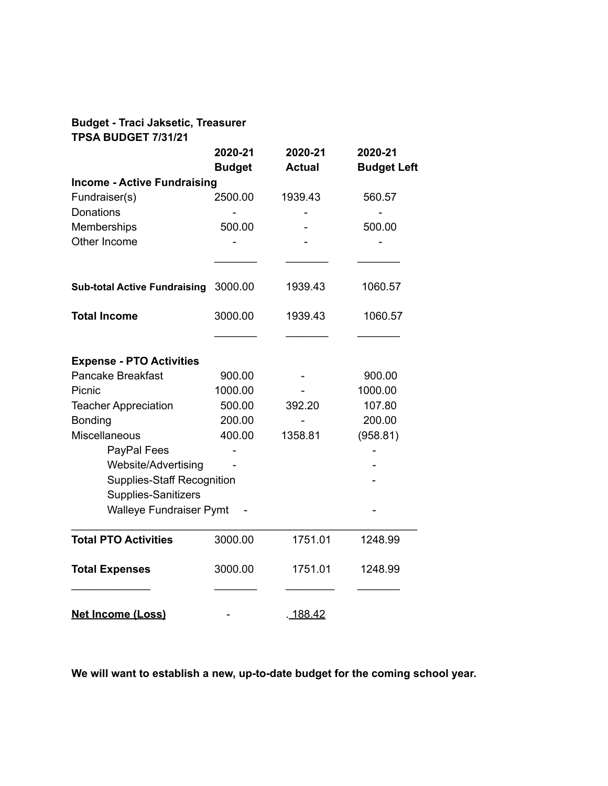# **Budget - Traci Jaksetic, Treasurer**

| <b>TPSA BUDGET 7/31/21</b>          |                          | 2020-21<br><b>Actual</b> | 2020-21<br><b>Budget Left</b> |
|-------------------------------------|--------------------------|--------------------------|-------------------------------|
|                                     | 2020-21<br><b>Budget</b> |                          |                               |
|                                     |                          |                          |                               |
| Fundraiser(s)                       | 2500.00                  | 1939.43                  | 560.57                        |
| Donations                           |                          |                          |                               |
| Memberships                         | 500.00                   |                          | 500.00                        |
| Other Income                        |                          |                          |                               |
|                                     |                          |                          |                               |
| <b>Sub-total Active Fundraising</b> | 3000.00                  | 1939.43                  | 1060.57                       |
| <b>Total Income</b>                 | 3000.00                  | 1939.43                  | 1060.57                       |
|                                     |                          |                          |                               |
| <b>Expense - PTO Activities</b>     |                          |                          |                               |
| <b>Pancake Breakfast</b>            | 900.00                   |                          | 900.00                        |
| Picnic                              | 1000.00                  |                          | 1000.00                       |
| <b>Teacher Appreciation</b>         | 500.00                   | 392.20                   | 107.80                        |
| Bonding                             | 200.00                   |                          | 200.00                        |
| Miscellaneous                       | 400.00                   | 1358.81                  | (958.81)                      |
| PayPal Fees                         |                          |                          |                               |
| Website/Advertising                 |                          |                          |                               |
| <b>Supplies-Staff Recognition</b>   |                          |                          |                               |
| Supplies-Sanitizers                 |                          |                          |                               |
| <b>Walleye Fundraiser Pymt</b>      |                          |                          |                               |
| <b>Total PTO Activities</b>         | 3000.00                  | 1751.01                  | 1248.99                       |
| <b>Total Expenses</b>               | 3000.00                  | 1751.01                  | 1248.99                       |
| <b>Net Income (Loss)</b>            |                          | .188.42                  |                               |

**We will want to establish a new, up-to-date budget for the coming school year.**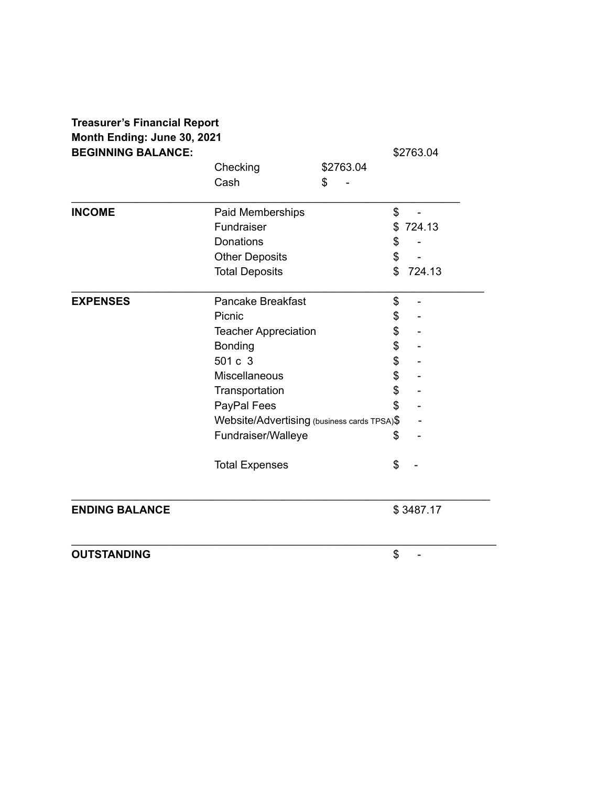| <b>Treasurer's Financial Report</b>                      |                                             |           |              |  |  |
|----------------------------------------------------------|---------------------------------------------|-----------|--------------|--|--|
| Month Ending: June 30, 2021<br><b>BEGINNING BALANCE:</b> | \$2763.04                                   |           |              |  |  |
|                                                          | Checking                                    | \$2763.04 |              |  |  |
|                                                          | Cash                                        | \$        |              |  |  |
| <b>INCOME</b>                                            | Paid Memberships                            |           | \$           |  |  |
|                                                          | Fundraiser                                  |           | \$724.13     |  |  |
|                                                          | <b>Donations</b>                            |           | \$           |  |  |
|                                                          | <b>Other Deposits</b>                       |           | \$           |  |  |
|                                                          | <b>Total Deposits</b>                       |           | \$<br>724.13 |  |  |
| <b>EXPENSES</b>                                          | <b>Pancake Breakfast</b>                    |           | \$           |  |  |
|                                                          | Picnic                                      |           | \$           |  |  |
|                                                          | <b>Teacher Appreciation</b>                 |           | \$           |  |  |
|                                                          | Bonding                                     |           | \$           |  |  |
|                                                          | 501 c 3                                     |           | \$           |  |  |
|                                                          | Miscellaneous                               |           | \$           |  |  |
|                                                          | Transportation                              |           | \$           |  |  |
|                                                          | PayPal Fees                                 |           | \$           |  |  |
|                                                          | Website/Advertising (business cards TPSA)\$ |           |              |  |  |
|                                                          | Fundraiser/Walleye                          |           | \$           |  |  |
|                                                          | <b>Total Expenses</b>                       |           | \$           |  |  |
| <b>ENDING BALANCE</b>                                    |                                             |           | \$3487.17    |  |  |
| <b>OUTSTANDING</b>                                       |                                             |           | \$           |  |  |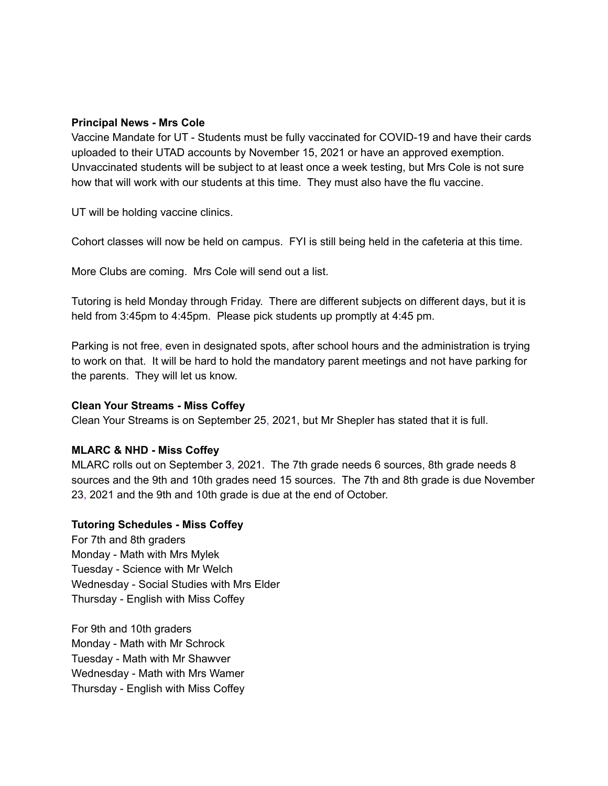### **Principal News - Mrs Cole**

Vaccine Mandate for UT - Students must be fully vaccinated for COVID-19 and have their cards uploaded to their UTAD accounts by November 15, 2021 or have an approved exemption. Unvaccinated students will be subject to at least once a week testing, but Mrs Cole is not sure how that will work with our students at this time. They must also have the flu vaccine.

UT will be holding vaccine clinics.

Cohort classes will now be held on campus. FYI is still being held in the cafeteria at this time.

More Clubs are coming. Mrs Cole will send out a list.

Tutoring is held Monday through Friday. There are different subjects on different days, but it is held from 3:45pm to 4:45pm. Please pick students up promptly at 4:45 pm.

Parking is not free, even in designated spots, after school hours and the administration is trying to work on that. It will be hard to hold the mandatory parent meetings and not have parking for the parents. They will let us know.

## **Clean Your Streams - Miss Coffey**

Clean Your Streams is on September 25, 2021, but Mr Shepler has stated that it is full.

## **MLARC & NHD - Miss Coffey**

MLARC rolls out on September 3, 2021. The 7th grade needs 6 sources, 8th grade needs 8 sources and the 9th and 10th grades need 15 sources. The 7th and 8th grade is due November 23, 2021 and the 9th and 10th grade is due at the end of October.

#### **Tutoring Schedules - Miss Coffey**

For 7th and 8th graders Monday - Math with Mrs Mylek Tuesday - Science with Mr Welch Wednesday - Social Studies with Mrs Elder Thursday - English with Miss Coffey

For 9th and 10th graders Monday - Math with Mr Schrock Tuesday - Math with Mr Shawver Wednesday - Math with Mrs Wamer Thursday - English with Miss Coffey